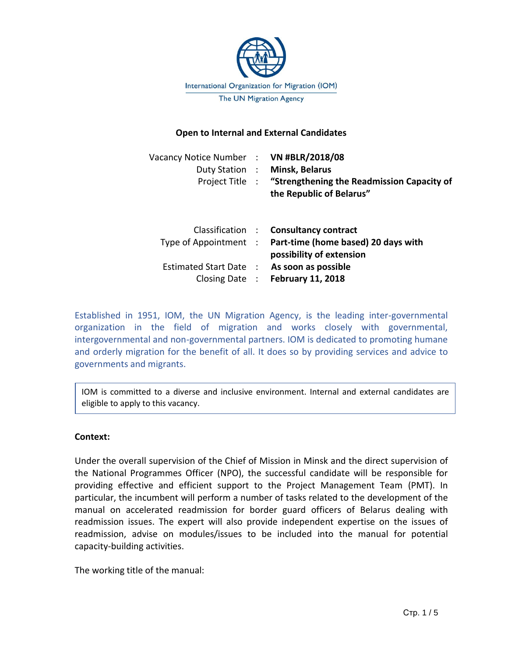

## **Open to Internal and External Candidates**

| Vacancy Notice Number : VN #BLR/2018/08 | Duty Station : Minsk, Belarus<br>Project Title : "Strengthening the Readmission Capacity of<br>the Republic of Belarus"                                                                   |
|-----------------------------------------|-------------------------------------------------------------------------------------------------------------------------------------------------------------------------------------------|
| Estimated Start Date :                  | Classification : Consultancy contract<br>Type of Appointment : Part-time (home based) 20 days with<br>possibility of extension<br>As soon as possible<br>Closing Date : February 11, 2018 |

Established in 1951, IOM, the UN Migration Agency, is the leading inter-governmental organization in the field of migration and works closely with governmental, intergovernmental and non-governmental partners. IOM is dedicated to promoting humane and orderly migration for the benefit of all. It does so by providing services and advice to governments and migrants.

IOM is committed to a diverse and inclusive environment. Internal and external candidates are eligible to apply to this vacancy.

## **Context:**

Under the overall supervision of the Chief of Mission in Minsk and the direct supervision of the National Programmes Officer (NPO), the successful candidate will be responsible for providing effective and efficient support to the Project Management Team (PMT). In particular, the incumbent will perform a number of tasks related to the development of the manual on accelerated readmission for border guard officers of Belarus dealing with readmission issues. The expert will also provide independent expertise on the issues of readmission, advise on modules/issues to be included into the manual for potential capacity-building activities.

The working title of the manual: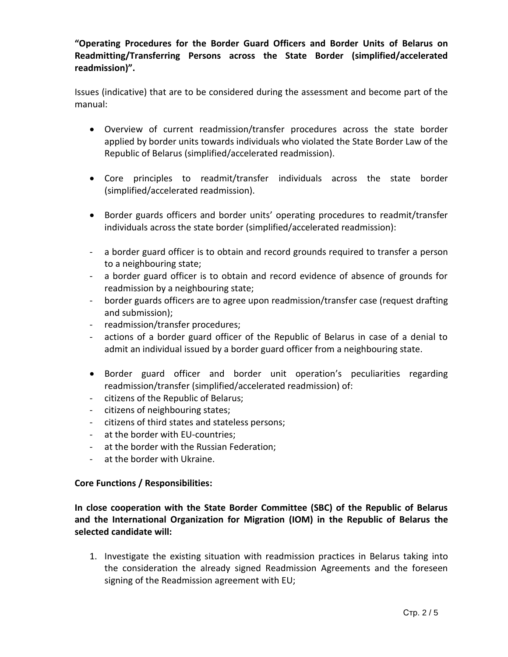**"Operating Procedures for the Border Guard Officers and Border Units of Belarus on Readmitting/Transferring Persons across the State Border (simplified/accelerated readmission)".**

Issues (indicative) that are to be considered during the assessment and become part of the manual:

- Overview of current readmission/transfer procedures across the state border applied by border units towards individuals who violated the State Border Law of the Republic of Belarus (simplified/accelerated readmission).
- Core principles to readmit/transfer individuals across the state border (simplified/accelerated readmission).
- Border guards officers and border units' operating procedures to readmit/transfer individuals across the state border (simplified/accelerated readmission):
- a border guard officer is to obtain and record grounds required to transfer a person to a neighbouring state;
- a border guard officer is to obtain and record evidence of absence of grounds for readmission by a neighbouring state;
- border guards officers are to agree upon readmission/transfer case (request drafting and submission);
- readmission/transfer procedures;
- actions of a border guard officer of the Republic of Belarus in case of a denial to admit an individual issued by a border guard officer from a neighbouring state.
- Border guard officer and border unit operation's peculiarities regarding readmission/transfer (simplified/accelerated readmission) of:
- citizens of the Republic of Belarus;
- citizens of neighbouring states;
- citizens of third states and stateless persons;
- at the border with EU-countries;
- at the border with the Russian Federation;
- at the border with Ukraine.

# **Core Functions / Responsibilities:**

**In close cooperation with the State Border Committee (SBC) of the Republic of Belarus and the International Organization for Migration (IOM) in the Republic of Belarus the selected candidate will:**

1. Investigate the existing situation with readmission practices in Belarus taking into the consideration the already signed Readmission Agreements and the foreseen signing of the Readmission agreement with EU;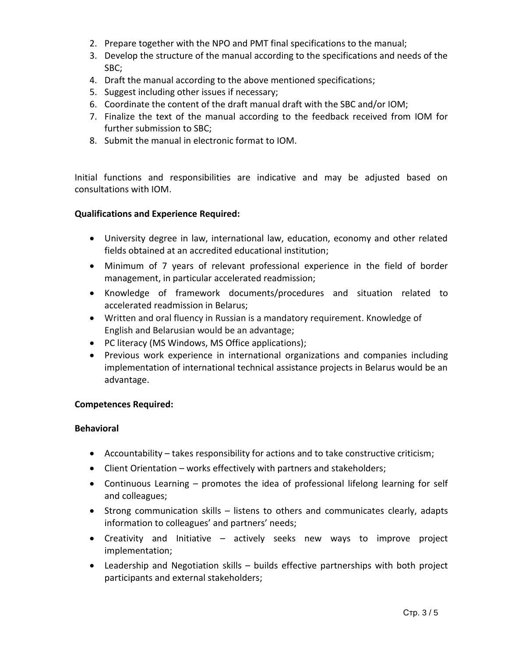- 2. Prepare together with the NPO and PMT final specifications to the manual;
- 3. Develop the structure of the manual according to the specifications and needs of the SBC;
- 4. Draft the manual according to the above mentioned specifications;
- 5. Suggest including other issues if necessary;
- 6. Coordinate the content of the draft manual draft with the SBC and/or IOM;
- 7. Finalize the text of the manual according to the feedback received from IOM for further submission to SBC;
- 8. Submit the manual in electronic format to IOM.

Initial functions and responsibilities are indicative and may be adjusted based on consultations with IOM.

# **Qualifications and Experience Required:**

- University degree in law, international law, education, economy and other related fields obtained at an accredited educational institution;
- Minimum of 7 years of relevant professional experience in the field of border management, in particular accelerated readmission;
- Knowledge of framework documents/procedures and situation related to accelerated readmission in Belarus;
- Written and oral fluency in Russian is a mandatory requirement. Knowledge of English and Belarusian would be an advantage;
- PC literacy (MS Windows, MS Office applications);
- Previous work experience in international organizations and companies including implementation of international technical assistance projects in Belarus would be an advantage.

## **Competences Required:**

## **Behavioral**

- Accountability takes responsibility for actions and to take constructive criticism;
- Client Orientation works effectively with partners and stakeholders;
- Continuous Learning promotes the idea of professional lifelong learning for self and colleagues;
- Strong communication skills listens to others and communicates clearly, adapts information to colleagues' and partners' needs;
- Creativity and Initiative actively seeks new ways to improve project implementation;
- Leadership and Negotiation skills builds effective partnerships with both project participants and external stakeholders;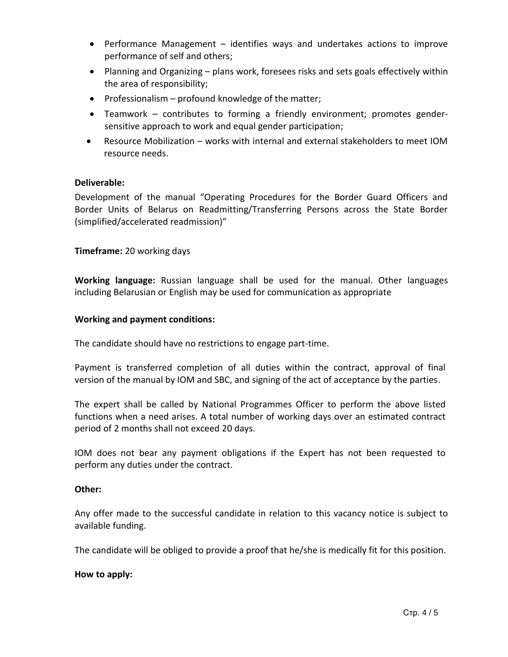- Performance Management identifies ways and undertakes actions to improve performance of self and others;
- Planning and Organizing plans work, foresees risks and sets goals effectively within the area of responsibility;
- Professionalism profound knowledge of the matter;
- Teamwork contributes to forming a friendly environment; promotes gendersensitive approach to work and equal gender participation;
- Resource Mobilization works with internal and external stakeholders to meet IOM resource needs.

## **Deliverable:**

Development of the manual "Operating Procedures for the Border Guard Officers and Border Units of Belarus on Readmitting/Transferring Persons across the State Border (simplified/accelerated readmission)"

## **Timeframe:** 20 working days

**Working language:** Russian language shall be used for the manual. Other languages including Belarusian or English may be used for communication as appropriate

## **Working and payment conditions:**

The candidate should have no restrictions to engage part-time.

Payment is transferred completion of all duties within the contract, approval of final version of the manual by IOM and SBC, and signing of the act of acceptance by the parties.

The expert shall be called by National Programmes Officer to perform the above listed functions when a need arises. A total number of working days over an estimated contract period of 2 months shall not exceed 20 days.

IOM does not bear any payment obligations if the Expert has not been requested to perform any duties under the contract.

## **Other:**

Any offer made to the successful candidate in relation to this vacancy notice is subject to available funding.

The candidate will be obliged to provide a proof that he/she is medically fit for this position.

## **How to apply:**